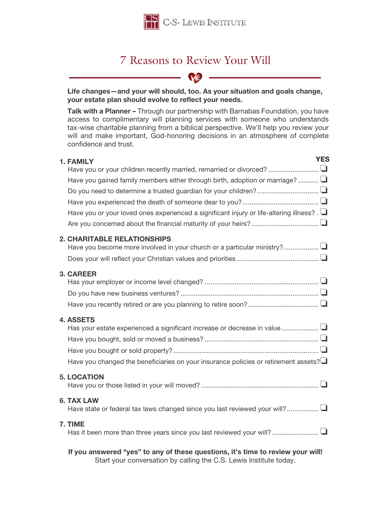

# 7 Reasons to Review Your Will

**N2** -

### Life changes—and your will should, too. As your situation and goals change, your estate plan should evolve to reflect your needs.

Talk with a Planner - Through our partnership with Barnabas Foundation, you have access to complimentary will planning services with someone who understands tax-wise charitable planning from a biblical perspective. We'll help you review your will and make important, God-honoring decisions in an atmosphere of complete confidence and trust.

| 1. FAMILY                                                                                       | <b>YES</b> |
|-------------------------------------------------------------------------------------------------|------------|
|                                                                                                 |            |
| Have you gained family members either through birth, adoption or marriage?                      |            |
|                                                                                                 |            |
|                                                                                                 |            |
| Have you or your loved ones experienced a significant injury or life-altering illness? . $\Box$ |            |
|                                                                                                 |            |
| <b>2. CHARITABLE RELATIONSHIPS</b>                                                              |            |
|                                                                                                 |            |
|                                                                                                 |            |
| <b>3. CAREER</b>                                                                                |            |
|                                                                                                 |            |
|                                                                                                 |            |
|                                                                                                 |            |
| <b>4. ASSETS</b>                                                                                |            |
|                                                                                                 |            |
|                                                                                                 |            |
|                                                                                                 |            |
| Have you changed the beneficiaries on your insurance policies or retirement assets?             |            |
| <b>5. LOCATION</b>                                                                              |            |
|                                                                                                 |            |
| <b>6. TAX LAW</b>                                                                               |            |
|                                                                                                 |            |
| 7. TIME                                                                                         |            |
| Has it been more than three years since you last reviewed your will?                            |            |
| If you answered "yes" to any of these questions, it's time to review your will!                 |            |

Start your conversation by calling the C.S. Lewis Institute today.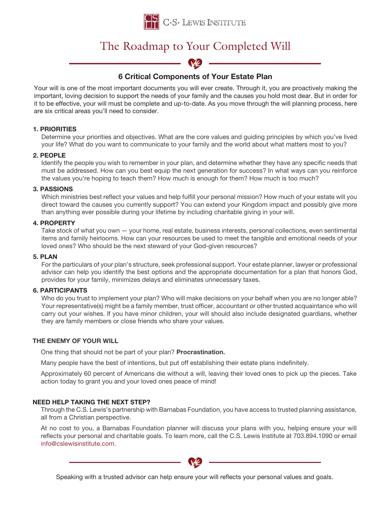

# The Roadmap to Your Completed Will



## 6 Critical Components of Your Estate Plan

Your will is one of the most important documents you will ever create. Through it, you are proactively making the important, loving decision to support the needs of your family and the causes you hold most dear. But in order for it to be effective, your will must be complete and up-to-date. As you move through the will planning process, here are six critical areas you'll need to consider.

#### 1. PRIORITIES

Determine your priorities and objectives. What are the core values and guiding principles by which you've lived your life? What do you want to communicate to your family and the world about what matters most to you?

#### 2. PEOPLE

Identify the people you wish to remember in your plan, and determine whether they have any specific needs that must be addressed. How can you best equip the next generation for success? In what ways can you reinforce the values you're hoping to teach them? How much is enough for them? How much is too much?

#### 3. PASSIONS

Which ministries best reflect your values and help fulfill your personal mission? How much of your estate will you direct toward the causes you currently support? You can extend your Kingdom impact and possibly give more than anything ever possible during your lifetime by including charitable giving in your will.

#### 4. PROPERTY

Take stock of what you own — your home, real estate, business interests, personal collections, even sentimental items and family heirlooms. How can your resources be used to meet the tangible and emotional needs of your loved ones? Who should be the next steward of your God-given resources?

#### 5. PLAN

For the particulars of your plan's structure, seek professional support. Your estate planner, lawyer or professional advisor can help you identify the best options and the appropriate documentation for a plan that honors God, provides for your family, minimizes delays and eliminates unnecessary taxes.

#### 6. PARTICIPANTS

Who do you trust to implement your plan? Who will make decisions on your behalf when you are no longer able? Your representative(s) might be a family member, trust officer, accountant or other trusted acquaintance who will carry out your wishes. If you have minor children, your will should also include designated guardians, whether they are family members or close friends who share your values.

#### THE ENEMY OF YOUR WILL

One thing that should not be part of your plan? Procrastination.

Many people have the best of intentions, but put off establishing their estate plans indefinitely.

Approximately 60 percent of Americans die without a will, leaving their loved ones to pick up the pieces. Take action today to grant you and your loved ones peace of mind!

#### NEED HELP TAKING THE NEXT STEP?

Through the C.S. Lewis's partnership with Barnabas Foundation, you have access to trusted planning assistance, all from a Christian perspective.

At no cost to you, a Barnabas Foundation planner will discuss your plans with you, helping ensure your will reflects your personal and charitable goals. To learn more, call the C.S. Lewis Institute at 703.894.1090 or email info@cslewisinstitute.com.



Speaking with a trusted advisor can help ensure your will reflects your personal values and goals.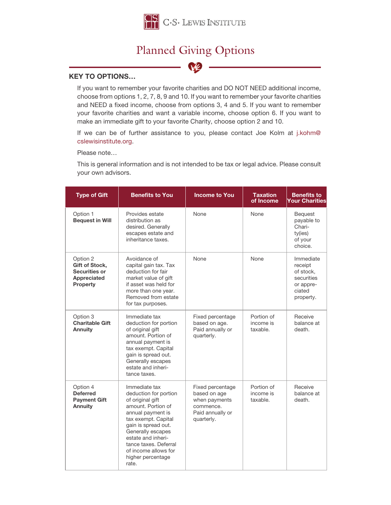

## Planned Giving Options



#### KEY TO OPTIONS…

If you want to remember your favorite charities and DO NOT NEED additional income, choose from options 1, 2, 7, 8, 9 and 10. If you want to remember your favorite charities and NEED a fixed income, choose from options 3, 4 and 5. If you want to remember your favorite charities and want a variable income, choose option 6. If you want to make an immediate gift to your favorite Charity, choose option 2 and 10.

If we can be of further assistance to you, please contact Joe Kolm at j.kohm@ cslewisinstitute.org.

Please note…

This is general information and is not intended to be tax or legal advice. Please consult your own advisors.

| <b>Type of Gift</b>                                                                  | <b>Benefits to You</b>                                                                                                                                                                                                                                                        | <b>Income to You</b>                                                                             | <b>Taxation</b><br>of Income        | <b>Benefits to</b><br><b>Your Charities</b>                                         |
|--------------------------------------------------------------------------------------|-------------------------------------------------------------------------------------------------------------------------------------------------------------------------------------------------------------------------------------------------------------------------------|--------------------------------------------------------------------------------------------------|-------------------------------------|-------------------------------------------------------------------------------------|
| Option 1<br><b>Bequest in Will</b>                                                   | Provides estate<br>distribution as<br>desired. Generally<br>escapes estate and<br>inheritance taxes.                                                                                                                                                                          | None                                                                                             | None                                | <b>Bequest</b><br>payable to<br>Chari-<br>ty(ies)<br>of your<br>choice.             |
| Option 2<br><b>Gift of Stock.</b><br>Securities or<br>Appreciated<br><b>Property</b> | Avoidance of<br>capital gain tax. Tax<br>deduction for fair<br>market value of gift<br>if asset was held for<br>more than one year.<br>Removed from estate<br>for tax purposes.                                                                                               | None                                                                                             | None                                | Immediate<br>receipt<br>of stock,<br>securities<br>or appre-<br>ciated<br>property. |
| Option 3<br><b>Charitable Gift</b><br>Annuity                                        | Immediate tax<br>deduction for portion<br>of original gift<br>amount. Portion of<br>annual payment is<br>tax exempt. Capital<br>gain is spread out.<br>Generally escapes<br>estate and inheri-<br>tance taxes.                                                                | Fixed percentage<br>based on age.<br>Paid annually or<br>quarterly.                              | Portion of<br>income is<br>taxable. | Receive<br>balance at<br>death.                                                     |
| Option 4<br><b>Deferred</b><br><b>Payment Gift</b><br><b>Annuity</b>                 | Immediate tax<br>deduction for portion<br>of original gift<br>amount. Portion of<br>annual payment is<br>tax exempt. Capital<br>gain is spread out.<br>Generally escapes<br>estate and inheri-<br>tance taxes. Deferral<br>of income allows for<br>higher percentage<br>rate. | Fixed percentage<br>based on age<br>when payments<br>commence.<br>Paid annually or<br>quarterly. | Portion of<br>income is<br>taxable. | Receive<br>balance at<br>death.                                                     |